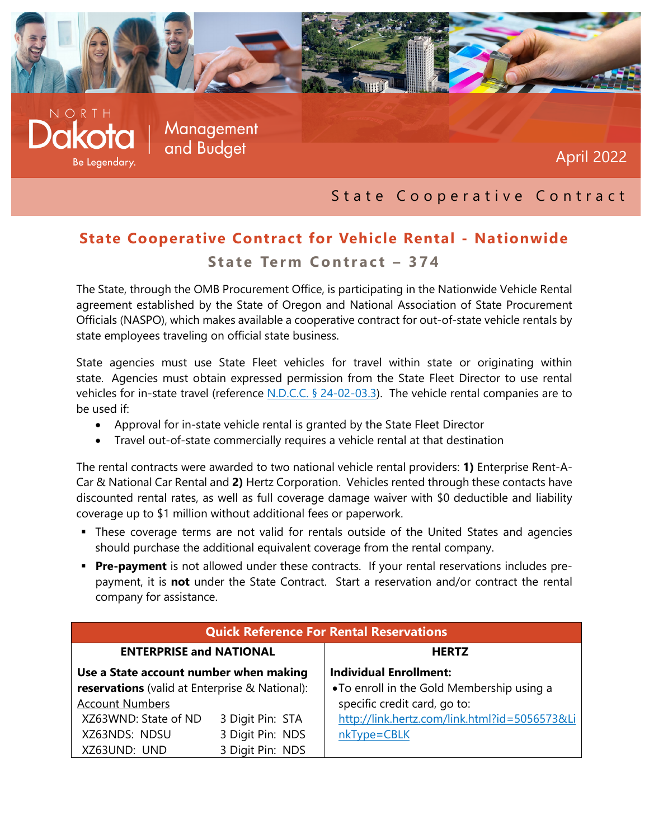

## State Cooperative Contract

## **State Cooperative Contract for Vehicle Rental - Nationwide State Term Contract – 374**

The State, through the OMB Procurement Office, is participating in the Nationwide Vehicle Rental agreement established by the State of Oregon and National Association of State Procurement Officials (NASPO), which makes available a cooperative contract for out-of-state vehicle rentals by state employees traveling on official state business.

State agencies must use State Fleet vehicles for travel within state or originating within state. Agencies must obtain expressed permission from the State Fleet Director to use rental vehicles for in-state travel (reference [N.D.C.C. § 24-02-03.3\)](http://www.legis.nd.gov/cencode/t24c02.pdf). The vehicle rental companies are to be used if:

- Approval for in-state vehicle rental is granted by the State Fleet Director
- Travel out-of-state commercially requires a vehicle rental at that destination

The rental contracts were awarded to two national vehicle rental providers: **1)** Enterprise Rent-A-Car & National Car Rental and **2)** Hertz Corporation. Vehicles rented through these contacts have discounted rental rates, as well as full coverage damage waiver with \$0 deductible and liability coverage up to \$1 million without additional fees or paperwork.

- These coverage terms are not valid for rentals outside of the United States and agencies should purchase the additional equivalent coverage from the rental company.
- **Pre-payment** is not allowed under these contracts. If your rental reservations includes prepayment, it is **not** under the State Contract. Start a reservation and/or contract the rental company for assistance.

| <b>Quick Reference For Rental Reservations</b> |                  |                                               |  |
|------------------------------------------------|------------------|-----------------------------------------------|--|
| <b>ENTERPRISE and NATIONAL</b>                 |                  | <b>HERTZ</b>                                  |  |
| Use a State account number when making         |                  | <b>Individual Enrollment:</b>                 |  |
| reservations (valid at Enterprise & National): |                  | . To enroll in the Gold Membership using a    |  |
| <b>Account Numbers</b>                         |                  | specific credit card, go to:                  |  |
| XZ63WND: State of ND                           | 3 Digit Pin: STA | http://link.hertz.com/link.html?id=5056573&Li |  |
| XZ63NDS: NDSU                                  | 3 Digit Pin: NDS | nkType=CBLK                                   |  |
| XZ63UND: UND                                   | 3 Digit Pin: NDS |                                               |  |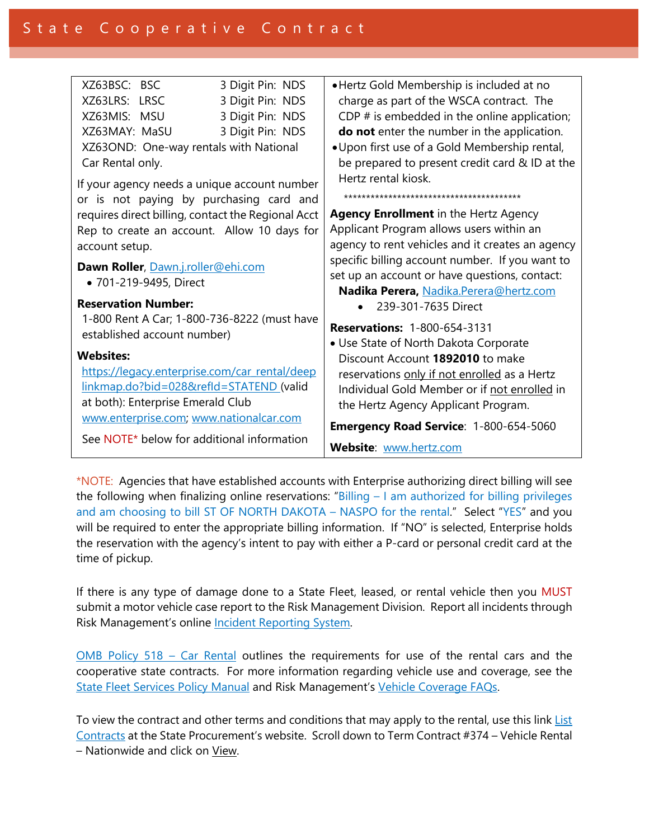| XZ63BSC: BSC                                                                                             | 3 Digit Pin: NDS | • Hertz Gold Membership is included at no        |
|----------------------------------------------------------------------------------------------------------|------------------|--------------------------------------------------|
| XZ63LRS: LRSC                                                                                            | 3 Digit Pin: NDS | charge as part of the WSCA contract. The         |
| XZ63MIS: MSU                                                                                             | 3 Digit Pin: NDS | CDP $#$ is embedded in the online application;   |
| XZ63MAY: MaSU                                                                                            | 3 Digit Pin: NDS | do not enter the number in the application.      |
| XZ63OND: One-way rentals with National                                                                   |                  | . Upon first use of a Gold Membership rental,    |
| Car Rental only.                                                                                         |                  | be prepared to present credit card & ID at the   |
| If your agency needs a unique account number                                                             |                  | Hertz rental kiosk.                              |
|                                                                                                          |                  |                                                  |
| or is not paying by purchasing card and                                                                  |                  |                                                  |
| requires direct billing, contact the Regional Acct                                                       |                  | <b>Agency Enrollment</b> in the Hertz Agency     |
| Rep to create an account. Allow 10 days for                                                              |                  | Applicant Program allows users within an         |
| account setup.                                                                                           |                  | agency to rent vehicles and it creates an agency |
| Dawn Roller, Dawn.j.roller@ehi.com<br>• 701-219-9495, Direct                                             |                  | specific billing account number. If you want to  |
|                                                                                                          |                  | set up an account or have questions, contact:    |
|                                                                                                          |                  | Nadika Perera, Nadika.Perera@hertz.com           |
| <b>Reservation Number:</b><br>1-800 Rent A Car; 1-800-736-8222 (must have<br>established account number) |                  | 239-301-7635 Direct                              |
|                                                                                                          |                  | <b>Reservations: 1-800-654-3131</b>              |
|                                                                                                          |                  |                                                  |
|                                                                                                          |                  | • Use State of North Dakota Corporate            |
| <b>Websites:</b>                                                                                         |                  | Discount Account 1892010 to make                 |
| https://legacy.enterprise.com/car_rental/deep                                                            |                  | reservations only if not enrolled as a Hertz     |
| linkmap.do?bid=028&refld=STATEND (valid                                                                  |                  | Individual Gold Member or if not enrolled in     |
| at both): Enterprise Emerald Club                                                                        |                  | the Hertz Agency Applicant Program.              |
| www.enterprise.com, www.nationalcar.com                                                                  |                  | Emergency Road Service: 1-800-654-5060           |
| See NOTE* below for additional information                                                               |                  |                                                  |
|                                                                                                          |                  | Website: www.hertz.com                           |

\*NOTE: Agencies that have established accounts with Enterprise authorizing direct billing will see the following when finalizing online reservations: "Billing – I am authorized for billing privileges and am choosing to bill ST OF NORTH DAKOTA – NASPO for the rental." Select "YES" and you will be required to enter the appropriate billing information. If "NO" is selected, Enterprise holds the reservation with the agency's intent to pay with either a P-card or personal credit card at the time of pickup.

If there is any type of damage done to a State Fleet, leased, or rental vehicle then you MUST submit a motor vehicle case report to the Risk Management Division. Report all incidents through Risk Management's online Incident Reporting System.

 $OMB$  [Policy 518 – Car Rental](http://www.nd.gov/fiscal/docs/fiscaladmin2011.pdf) outlines the requirements for use of the rental cars and the cooperative state contracts. For more information regarding vehicle use and coverage, see the [State Fleet Services Policy Manual](http://www.dot.nd.gov/divisions/fleet/statefleet.htm) and Risk Management's [Vehicle Coverage FAQs.](http://www.nd.gov/risk/risk-management-fund/vehicle-liability) 

To view the contract and other terms and conditions that may apply to the rental, use this link List [Contracts](https://secure.apps.state.nd.us/csd/spo/services/bidder/listCurrentContracts.htm) at the State Procurement's website. Scroll down to Term Contract #374 – Vehicle Rental – Nationwide and click on View.